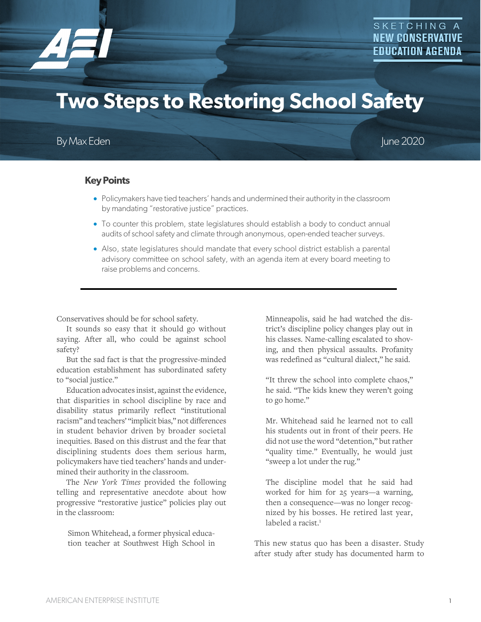

# **Two Steps to Restoring School Safety**

# By Max Eden June 2020

## **Key Points**

- Policymakers have tied teachers' hands and undermined their authority in the classroom by mandating "restorative justice" practices.
- To counter this problem, state legislatures should establish a body to conduct annual audits of school safety and climate through anonymous, open-ended teacher surveys.
- Also, state legislatures should mandate that every school district establish a parental advisory committee on school safety, with an agenda item at every board meeting to raise problems and concerns.

Conservatives should be for school safety.

It sounds so easy that it should go without saying. After all, who could be against school safety?

But the sad fact is that the progressive-minded education establishment has subordinated safety to "social justice."

Education advocates insist, against the evidence, that disparities in school discipline by race and disability status primarily reflect "institutional racism" and teachers' "implicit bias," not differences in student behavior driven by broader societal inequities. Based on this distrust and the fear that disciplining students does them serious harm, policymakers have tied teachers' hands and undermined their authority in the classroom.

The *New York Times* provided the following telling and representative anecdote about how progressive "restorative justice" policies play out in the classroom:

Simon Whitehead, a former physical education teacher at Southwest High School in Minneapolis, said he had watched the district's discipline policy changes play out in his classes. Name-calling escalated to shoving, and then physical assaults. Profanity was redefined as "cultural dialect," he said.

"It threw the school into complete chaos," he said. "The kids knew they weren't going to go home."

Mr. Whitehead said he learned not to call his students out in front of their peers. He did not use the word "detention," but rather "quality time." Eventually, he would just "sweep a lot under the rug."

The discipline model that he said had worked for him for 25 years—a warning, then a consequence—was no longer recognized by his bosses. He retired last year, labeled a racist.<sup>1</sup>

This new status quo has been a disaster. Study after study after study has documented harm to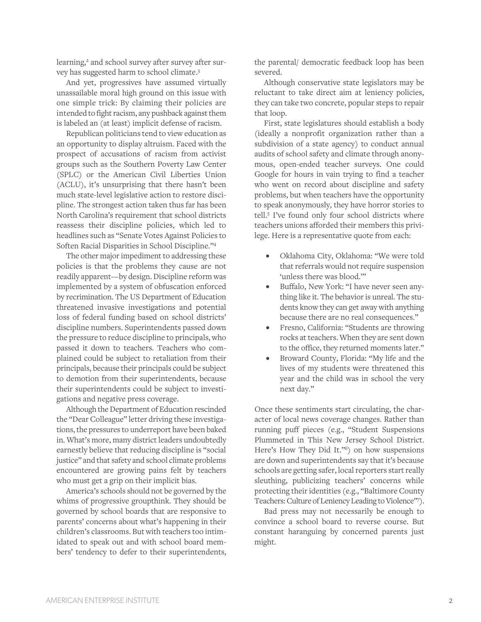learning,<sup>2</sup> and school survey after survey after survey has suggested harm to school climate.3

And yet, progressives have assumed virtually unassailable moral high ground on this issue with one simple trick: By claiming their policies are intended to fight racism, any pushback against them is labeled an (at least) implicit defense of racism.

Republican politicians tend to view education as an opportunity to display altruism. Faced with the prospect of accusations of racism from activist groups such as the Southern Poverty Law Center (SPLC) or the American Civil Liberties Union (ACLU), it's unsurprising that there hasn't been much state-level legislative action to restore discipline. The strongest action taken thus far has been North Carolina's requirement that school districts reassess their discipline policies, which led to headlines such as "Senate Votes Against Policies to Soften Racial Disparities in School Discipline."4

The other major impediment to addressing these policies is that the problems they cause are not readily apparent—by design. Discipline reform was implemented by a system of obfuscation enforced by recrimination. The US Department of Education threatened invasive investigations and potential loss of federal funding based on school districts' discipline numbers. Superintendents passed down the pressure to reduce discipline to principals, who passed it down to teachers. Teachers who complained could be subject to retaliation from their principals, because their principals could be subject to demotion from their superintendents, because their superintendents could be subject to investigations and negative press coverage.

Although the Department of Education rescinded the "Dear Colleague" letter driving these investigations, the pressures to underreport have been baked in. What's more, many district leaders undoubtedly earnestly believe that reducing discipline is "social justice" and that safety and school climate problems encountered are growing pains felt by teachers who must get a grip on their implicit bias.

America's schools should not be governed by the whims of progressive groupthink. They should be governed by school boards that are responsive to parents' concerns about what's happening in their children's classrooms. But with teachers too intimidated to speak out and with school board members' tendency to defer to their superintendents, the parental/ democratic feedback loop has been severed.

Although conservative state legislators may be reluctant to take direct aim at leniency policies, they can take two concrete, popular steps to repair that loop.

First, state legislatures should establish a body (ideally a nonprofit organization rather than a subdivision of a state agency) to conduct annual audits of school safety and climate through anonymous, open-ended teacher surveys. One could Google for hours in vain trying to find a teacher who went on record about discipline and safety problems, but when teachers have the opportunity to speak anonymously, they have horror stories to tell.5 I've found only four school districts where teachers unions afforded their members this privilege. Here is a representative quote from each:

- Oklahoma City, Oklahoma: "We were told that referrals would not require suspension 'unless there was blood.'"
- Buffalo, New York: "I have never seen anything like it. The behavior is unreal. The students know they can get away with anything because there are no real consequences."
- Fresno, California: "Students are throwing rocks at teachers. When they are sent down to the office, they returned moments later."
- Broward County, Florida: "My life and the lives of my students were threatened this year and the child was in school the very next day."

Once these sentiments start circulating, the character of local news coverage changes. Rather than running puff pieces (e.g., "Student Suspensions Plummeted in This New Jersey School District. Here's How They Did It."<sup>6</sup>) on how suspensions are down and superintendents say that it's because schools are getting safer, local reporters start really sleuthing, publicizing teachers' concerns while protecting their identities (e.g., "Baltimore County Teachers: Culture of Leniency Leading to Violence"7).

Bad press may not necessarily be enough to convince a school board to reverse course. But constant haranguing by concerned parents just might.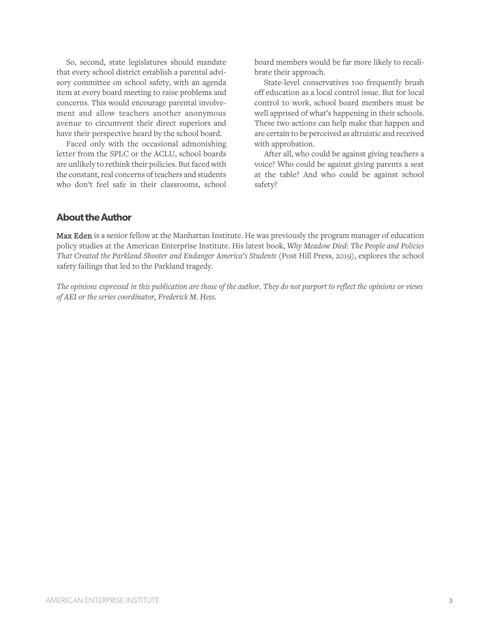So, second, state legislatures should mandate that every school district establish a parental advisory committee on school safety, with an agenda item at every board meeting to raise problems and concerns. This would encourage parental involvement and allow teachers another anonymous avenue to circumvent their direct superiors and have their perspective heard by the school board.

Faced only with the occasional admonishing letter from the SPLC or the ACLU, school boards are unlikely to rethink their policies. But faced with the constant, real concerns of teachers and students who don't feel safe in their classrooms, school

board members would be far more likely to recalibrate their approach.

State-level conservatives too frequently brush off education as a local control issue. But for local control to work, school board members must be well apprised of what's happening in their schools. These two actions can help make that happen and are certain to be perceived as altruistic and received with approbation.

After all, who could be against giving teachers a voice? Who could be against giving parents a seat at the table? And who could be against school safety?

### **About the Author**

Max Eden is a senior fellow at the Manhattan Institute. He was previously the program manager of education policy studies at the American Enterprise Institute. His latest book, *Why Meadow Died: The People and Policies That Created the Parkland Shooter and Endanger America's Students* (Post Hill Press, 2019), explores the school safety failings that led to the Parkland tragedy.

*The opinions expressed in this publication are those of the author. They do not purport to reflect the opinions or views of AEI or the series coordinator, Frederick M. Hess.*